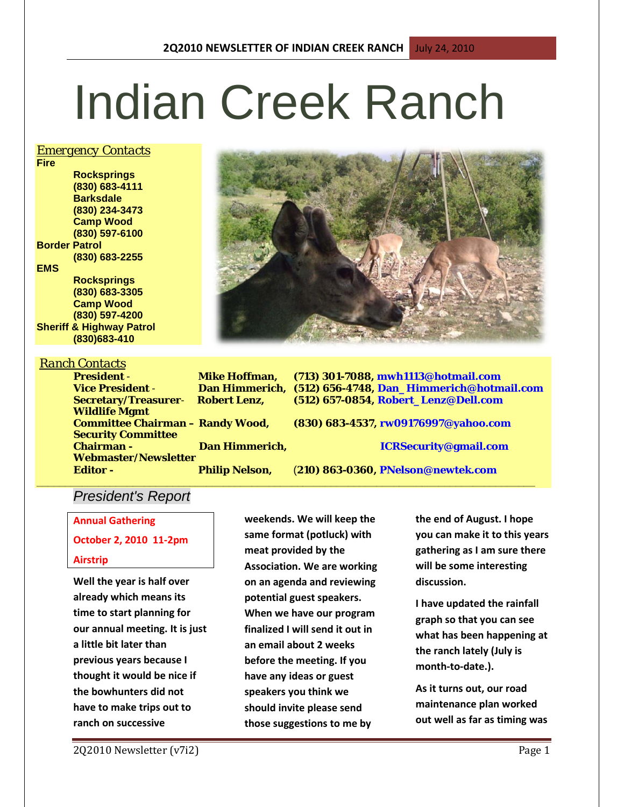# Indian Creek Ranch

## *Emergency Contacts*

**Fire Rocksprings (830) 683-4111 Barksdale (830) 234-3473 Camp Wood (830) 597-6100 Border Patrol (830) 683-2255 EMS Rocksprings (830) 683-3305 Camp Wood (830) 597-4200 Sheriff & Highway Patrol**

**(830)683-410**

**Wildlife Mgmt** 

**Security Committee** 

# *Ranch Contacts*



**President** - **Mike Hoffman, (713) 301-7088, mwh1113@hotmail.com Vice President** - **Dan Himmerich, (512) 656-4748, Dan\_Himmerich@hotmail.com Secretary/Treasurer**- **Robert Lenz, (512) 657-0854, Robert\_Lenz@Dell.com**

**Committee Chairman – Randy Wood, (830) 683-4537, rw09176997@yahoo.com**

**Chairman - Dan Himmerich, ICRSecurity@gmail.com**

**Editor - Philip Nelson,** (**210) 863-0360, PNelson@newtek.com**

## **\_\_\_\_\_\_\_\_\_\_\_\_\_\_\_\_\_\_\_\_\_\_\_\_\_\_\_\_\_\_\_\_\_\_\_\_\_\_\_\_\_\_\_\_\_\_\_\_\_\_\_\_\_\_\_\_\_\_\_\_\_\_\_\_\_\_\_\_\_\_\_\_\_\_\_\_\_\_\_\_\_\_\_\_\_\_\_\_** *President's Report*

**Webmaster/Newsletter** 

**Annual Gathering**

# **October 2, 2010 11-2pm**

### **Airstrip**

**Well the year is half over already which means its time to start planning for our annual meeting. It is just a little bit later than previous years because I thought it would be nice if the bowhunters did not have to make trips out to ranch on successive** 

**weekends. We will keep the same format (potluck) with meat provided by the Association. We are working on an agenda and reviewing potential guest speakers. When we have our program finalized I will send it out in an email about 2 weeks before the meeting. If you have any ideas or guest speakers you think we should invite please send those suggestions to me by** 

**the end of August. I hope you can make it to this years gathering as I am sure there will be some interesting discussion.**

**I have updated the rainfall graph so that you can see what has been happening at the ranch lately (July is month-to-date.).**

**As it turns out, our road maintenance plan worked out well as far as timing was**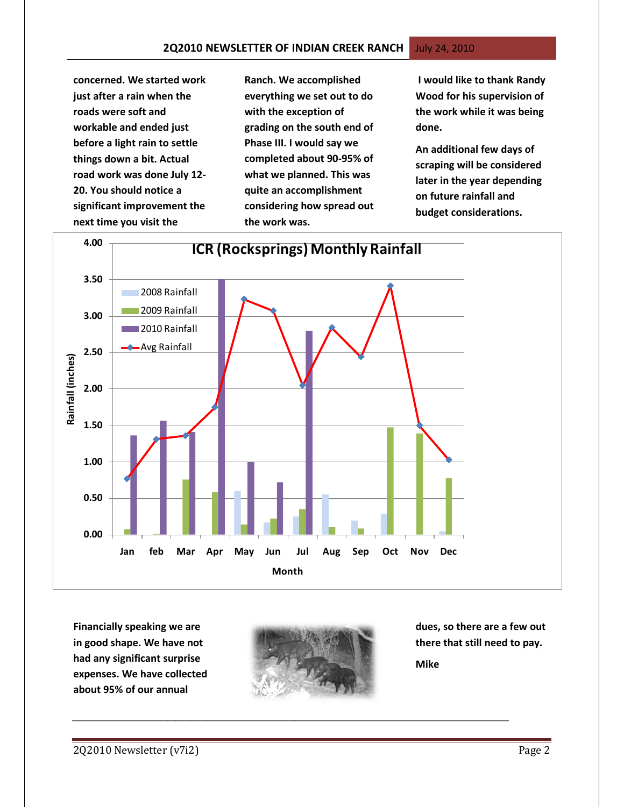**concerned. We started work just after a rain when the roads were soft and workable and ended just before a light rain to settle things down a bit. Actual road work was done July 12- 20. You should notice a significant improvement the next time you visit the** 

**Ranch. We accomplished everything we set out to do with the exception of grading on the south end of Phase III. I would say we completed about 90-95% of what we planned. This was quite an accomplishment considering how spread out the work was.**

**I would like to thank Randy Wood for his supervision of the work while it was being done.** 

**An additional few days of scraping will be considered later in the year depending on future rainfall and budget considerations.**



**Financially speaking we are in good shape. We have not had any significant surprise expenses. We have collected about 95% of our annual** 



*\_\_\_\_\_\_\_\_\_\_\_\_\_\_\_\_\_\_\_\_\_\_\_\_\_\_\_\_\_\_\_\_\_\_\_\_\_\_\_\_\_\_\_\_\_\_\_\_\_\_\_\_\_\_\_*

**dues, so there are a few out there that still need to pay.**

**Mike**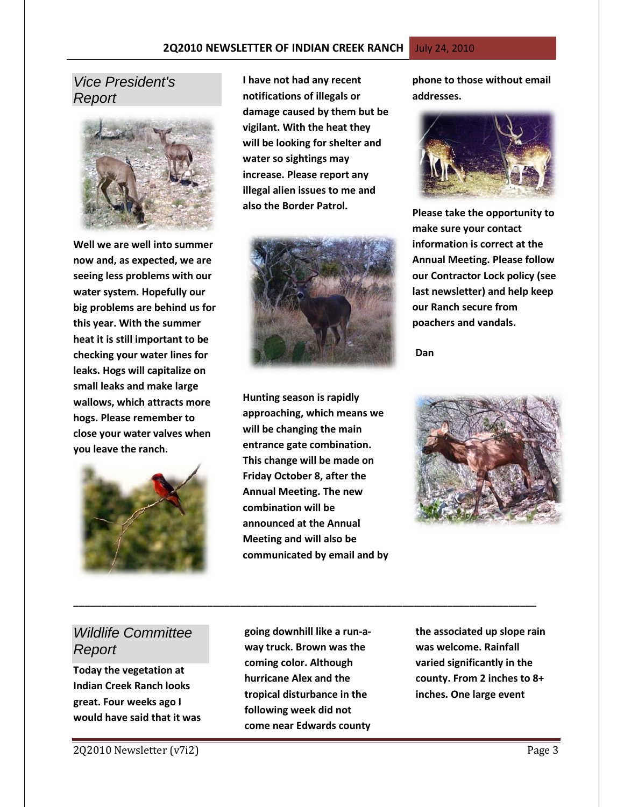# *Vice President's Report*



**Well we are well into summer now and, as expected, we are seeing less problems with our water system. Hopefully our big problems are behind us for this year. With the summer heat it is still important to be checking your water lines for leaks. Hogs will capitalize on small leaks and make large wallows, which attracts more hogs. Please remember to close your water valves when you leave the ranch.**



**I have not had any recent notifications of illegals or damage caused by them but be vigilant. With the heat they will be looking for shelter and water so sightings may increase. Please report any illegal alien issues to me and also the Border Patrol.**



**Hunting season is rapidly approaching, which means we will be changing the main entrance gate combination. This change will be made on Friday October 8, after the Annual Meeting. The new combination will be announced at the Annual Meeting and will also be communicated by email and by**  **phone to those without email addresses.** 



**Please take the opportunity to make sure your contact information is correct at the Annual Meeting. Please follow our Contractor Lock policy (see last newsletter) and help keep our Ranch secure from poachers and vandals.** 

 **Dan**



# *Wildlife Committee Report*

**Today the vegetation at Indian Creek Ranch looks great. Four weeks ago I would have said that it was**  **going downhill like a run-away truck. Brown was the coming color. Although hurricane Alex and the tropical disturbance in the following week did not come near Edwards county** 

**\_\_\_\_\_\_\_\_\_\_\_\_\_\_\_\_\_\_\_\_\_\_\_\_\_\_\_\_\_\_\_\_\_\_\_\_\_\_\_\_\_\_\_\_\_\_\_\_\_\_\_\_\_\_\_\_\_\_\_\_\_\_\_\_\_\_\_\_\_\_\_\_\_\_\_\_\_\_\_\_\_\_\_**

**the associated up slope rain was welcome. Rainfall varied significantly in the county. From 2 inches to 8+ inches. One large event**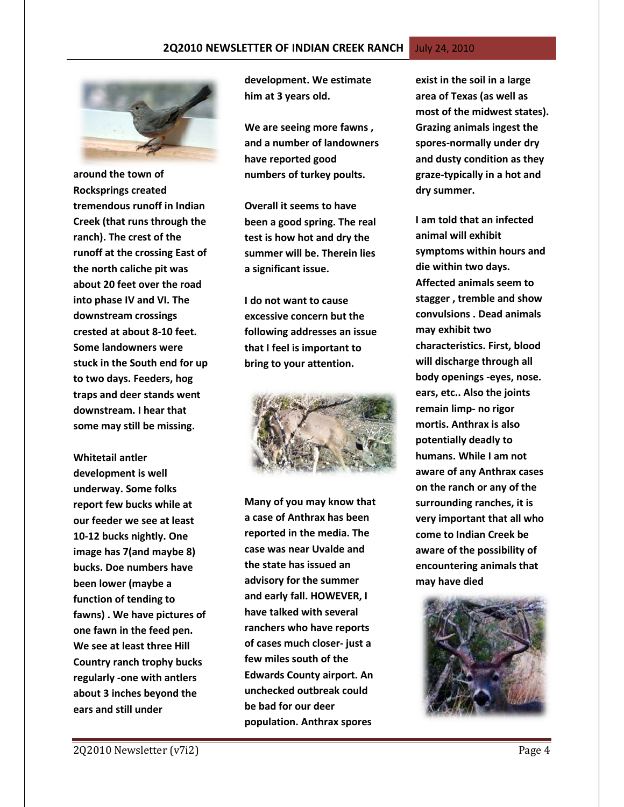

**around the town of Rocksprings created tremendous runoff in Indian Creek (that runs through the ranch). The crest of the runoff at the crossing East of the north caliche pit was about 20 feet over the road into phase IV and VI. The downstream crossings crested at about 8-10 feet. Some landowners were stuck in the South end for up to two days. Feeders, hog traps and deer stands went downstream. I hear that some may still be missing.** 

**Whitetail antler development is well underway. Some folks report few bucks while at our feeder we see at least 10-12 bucks nightly. One image has 7(and maybe 8) bucks. Doe numbers have been lower (maybe a function of tending to fawns) . We have pictures of one fawn in the feed pen. We see at least three Hill Country ranch trophy bucks regularly -one with antlers about 3 inches beyond the ears and still under** 

**development. We estimate him at 3 years old.** 

**We are seeing more fawns , and a number of landowners have reported good numbers of turkey poults.**

**Overall it seems to have been a good spring. The real test is how hot and dry the summer will be. Therein lies a significant issue.** 

**I do not want to cause excessive concern but the following addresses an issue that I feel is important to bring to your attention.** 



**Many of you may know that a case of Anthrax has been reported in the media. The case was near Uvalde and the state has issued an advisory for the summer and early fall. HOWEVER, I have talked with several ranchers who have reports of cases much closer- just a few miles south of the Edwards County airport. An unchecked outbreak could be bad for our deer population. Anthrax spores** 

**exist in the soil in a large area of Texas (as well as most of the midwest states). Grazing animals ingest the spores-normally under dry and dusty condition as they graze-typically in a hot and dry summer.** 

**I am told that an infected animal will exhibit symptoms within hours and die within two days. Affected animals seem to stagger , tremble and show convulsions . Dead animals may exhibit two characteristics. First, blood will discharge through all body openings -eyes, nose. ears, etc.. Also the joints remain limp- no rigor mortis. Anthrax is also potentially deadly to humans. While I am not aware of any Anthrax cases on the ranch or any of the surrounding ranches, it is very important that all who come to Indian Creek be aware of the possibility of encountering animals that may have died** 

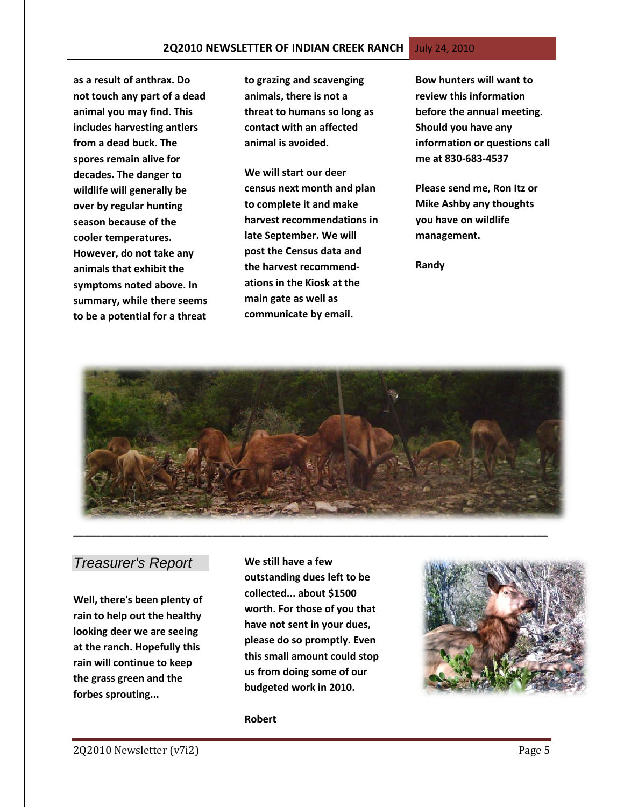**as a result of anthrax. Do not touch any part of a dead animal you may find. This includes harvesting antlers from a dead buck. The spores remain alive for decades. The danger to wildlife will generally be over by regular hunting season because of the cooler temperatures. However, do not take any animals that exhibit the symptoms noted above. In summary, while there seems to be a potential for a threat** 

**to grazing and scavenging animals, there is not a threat to humans so long as contact with an affected animal is avoided.** 

**We will start our deer census next month and plan to complete it and make harvest recommendations in late September. We will post the Census data and the harvest recommendations in the Kiosk at the main gate as well as communicate by email.** 

**Bow hunters will want to review this information before the annual meeting. Should you have any information or questions call me at 830-683-4537**

**Please send me, Ron Itz or Mike Ashby any thoughts you have on wildlife management.**

**Randy**



# *Treasurer's Report*

**Well, there's been plenty of rain to help out the healthy looking deer we are seeing at the ranch. Hopefully this rain will continue to keep the grass green and the forbes sprouting...**

**We still have a few outstanding dues left to be collected... about \$1500 worth. For those of you that have not sent in your dues, please do so promptly. Even this small amount could stop us from doing some of our budgeted work in 2010.**



**Robert**